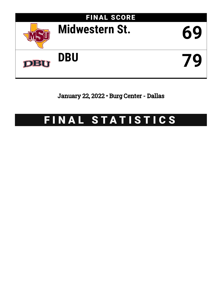

January 22, 2022 • Burg Center - Dallas

# FINAL STATISTICS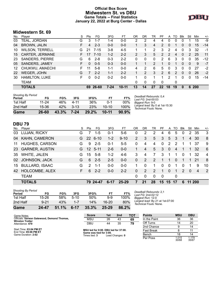# **Official Box Score Midwestern St. vs DBU Game Totals -- Final Statistics January 22, 2022 at Burg Center - Dallas**



# **Midwestern St. 69**

| No. | Plaver                 | S  | Pts | FG        | 3FG     | FТ        | 0R       | DR             | TR             | PF                    | A            | TO. | <b>Blk</b>   | Stl      | Min        | $+/-$ |
|-----|------------------------|----|-----|-----------|---------|-----------|----------|----------------|----------------|-----------------------|--------------|-----|--------------|----------|------------|-------|
| 03  | TEAL, JORDAN           | G  | 3   | 1-7       | 1-4     | $0 - 0$   | 2        | 2              | 4              | 4                     | 0            | 0   |              |          | 15         | -9    |
| 04  | <b>BROWN, JALIN</b>    | F. | 4   | $2 - 3$   | $0 - 0$ | $0 - 0$   |          | 3              | $\overline{4}$ | $\overline{2}$        | $\Omega$     |     | 0            | 0        | 15         | $-14$ |
| 10  | <b>WILSON, TERRELL</b> | G  | 21  | $7 - 15$  | $3 - 8$ | $4 - 5$   |          |                | 2              | 3.                    | 2            | 4   | 0            | 3        | 32         | -1    |
| 15  | <b>CARTER, JERMANE</b> | F. | 17  | $7 - 10$  | $1 - 2$ | $2 - 2$   | 2        | 3              | 5.             | $\mathcal{P}$         | 2            | 4   | $\mathbf{0}$ | 2        | 25         | 11    |
| 23  | <b>SANDERS, PIERRE</b> | G  | 6   | $2 - 8$   | $0 - 3$ | $2 - 2$   | $\Omega$ | 0              | 0              | 2                     | 6            | 3   | 0            | $\Omega$ | 35         | $-12$ |
| 05  | SANDERS, JAMEY         | F. | 0   | $0 - 5$   | $0 - 3$ | $0 - 0$   |          |                | 2              |                       | 0            | 1   | 0            | $\Omega$ | 9          | $-7$  |
| 12  | CHUKWU, AMAECHI        | F. | 11  | $5 - 8$   | 1-1     | $0 - 0$   | 4        | 2              | 6              | 5                     | $\mathbf{0}$ | 3   | 0            | 0        | 27         | $-2$  |
| 22  | WEGER, JOHN            | G  | 7   | $2 - 2$   | $1 - 1$ | $2 - 2$   |          | $\overline{2}$ | 3              | $\mathbf{2}^{\prime}$ | 6            | 2   | $\mathbf{0}$ | 0        | 26         | $-2$  |
| 30  | <b>HAMILTON, LUKE</b>  | F  | 0   | $0 - 2$   | $0 - 2$ | $0 - 0$   |          | 0              |                |                       | 2            |     | 0            | 0        | 15         | $-14$ |
|     | <b>TEAM</b>            |    |     |           |         |           | 0        | 0              | $\Omega$       | $\Omega$              |              | 0   |              |          |            |       |
|     | <b>TOTALS</b>          |    | 69  | $26 - 60$ | 7-24    | $10 - 11$ | 13       | 14             | 27             | 22                    | 18           | 19  | $\Omega$     | 6        | <b>200</b> |       |

| Game                                | 26-60     | 43.3% | 7-24   | 29.2% | $10 - 11$ | 90.9% |
|-------------------------------------|-----------|-------|--------|-------|-----------|-------|
| 2nd Half                            | 15-36     | 42%   | $3-13$ | 23%   | $10 - 10$ | 100%  |
| 1st Half                            | $11 - 24$ | 46%   | 4-11   | 36%   | በ-1       | 00%   |
| <b>Shooting By Period</b><br>Period | FG        | FG%   | 3FG    | 3FG%  | FТ        | FT%   |

*Deadball Rebounds:* 0,4 *Last FG:* 2nd-00:03 *Biggest Run:* 9-0 *Largest lead:* By 0 at 1st-15:30 *Technical Fouls:* None.

# **DBU 79**

| No. | Player                | S. | <b>Pts</b>      | FG       | 3FG     | FT       | OR             | DR       | TR            | PF       | A             | TO | Blk           | Stl            | Min    | $+/-$          |
|-----|-----------------------|----|-----------------|----------|---------|----------|----------------|----------|---------------|----------|---------------|----|---------------|----------------|--------|----------------|
| 03  | LUJAN, RICKY          | G  | 7               | $1-5$    | $0 - 1$ | $5-6$    | 0              | 2        | 2             | 4        | 6             | 5  | 0             | $\overline{2}$ | 35     | 3              |
| 04  | <b>KAHN, CAMERON</b>  | G. | <b>22</b>       | $6 - 10$ | $1 - 2$ | $9 - 10$ | $\overline{2}$ | 3        | 5             | 3        | 5             | 3  |               | 4              | -30    | 8              |
| 11  | <b>HUGHES, CARSON</b> | G  | 9               | $2 - 5$  | $0 - 1$ | $5 - 5$  | 0              | 4        | 4             | 0        | $\mathcal{P}$ | 2  |               | 1              | 37     | 9              |
| 23  | <b>GARNER, AUSTIN</b> | G. | 12 <sup>1</sup> | $5 - 11$ | $2 - 6$ | $0 - 0$  |                | 4        | 5             | 3        | $\Omega$      | 4  |               | 1.             | -32    | 6              |
| 35  | <b>WHITE, JALEN</b>   | G  | 15              | $5-8$    | $1 - 2$ | $4-6$    | 3              | 4        | 7             | 3        | 1             | 1  | $\Omega$      | 1              | 32     | $\overline{4}$ |
| 02  | <b>JOHNSON, JACK</b>  | G  | 6               | $2 - 5$  | $2 - 5$ | $0 - 0$  | $\Omega$       | 2        | 2             |          | 1             | 0  |               | 1              | -21    | 8              |
| 15  | <b>BULLARD, ISAAC</b> | G  | $\mathcal{P}$   | $1 - 1$  | $0 - 0$ | $0 - 0$  | 1              | $\Omega$ |               | $\Omega$ | $\Omega$      | 1  | $\Omega$      | 1              | 9      | 10             |
| 42  | HOLCOMBE, ALEX        | F. | 6               | $2 - 2$  | $0 - 0$ | $2 - 2$  | 0              | 2        | $\mathcal{P}$ |          | $\Omega$      | 1  | $\mathcal{P}$ | $\Omega$       | 4      | 2              |
|     | <b>TEAM</b>           |    |                 |          |         |          | $\Omega$       | $\Omega$ | $\Omega$      | $\Omega$ |               | 0  |               |                |        |                |
|     | <b>TOTALS</b>         |    |                 | 79 24-47 | 6-17    | 25-29    |                | 21       | 28            | 15       | 15            |    | 6             |                | 11 200 |                |

| Game                                | 24-47    | 51.1% | $6 - 17$ | 35.3% | $25 - 29$ | 86.2% |
|-------------------------------------|----------|-------|----------|-------|-----------|-------|
| 2nd Half                            | $9 - 21$ | 43%   | 1-7      | 14%   | 16-20     | 80%   |
| 1st Half                            | 15-26    | 58%   | $5-10$   | 50%   | 9-9       | 100%  |
| <b>Shooting By Period</b><br>Period | FG       | FG%   | 3FG      | 3FG%  | FT        | FT%   |

*Deadball Rebounds:* 2,1 *Last FG:* 2nd-02:12 *Biggest Run:* 12-0 *Largest lead:* By 21 at 1st-07:00 *Technical Fouls:* None.

| Game Notes:                                      | <b>Score</b>                             | 1st | 2 <sub>nd</sub> | тот               | <b>Points</b> | <b>MSU</b>     | <b>DBU</b>     |
|--------------------------------------------------|------------------------------------------|-----|-----------------|-------------------|---------------|----------------|----------------|
| Officials: Varwan Gatewood, Demond Thomas,       | <b>MSU</b>                               | 26  | 43              | 69                | In the Paint  | 36             | 36             |
| Winston Trotter<br>Attendance: 479               | <b>DBU</b>                               | 44  | 35              | 79                | Off Turns     | 14             | 20             |
|                                                  |                                          |     |                 |                   | 2nd Chance    |                | 14             |
| Start Time: 03:04 PM ET<br>End Time: 05:06 PM ET | MSU led for 0:00. DBU led for 37:00.     |     |                 | <b>Fast Break</b> |               | 11             |                |
| Game Duration: 2:02                              | Game was tied for 3:00.<br>Times tied: 3 |     | Lead Changes: 0 |                   | Bench         | 18             | 14             |
|                                                  |                                          |     |                 |                   | Per Poss      | 1.015<br>30/68 | 1.179<br>35/67 |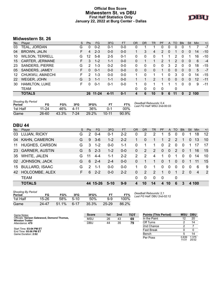### **Official Box Score Midwestern St. vs DBU First Half Statistics Only January 22, 2022 at Burg Center - Dallas**



# **Midwestern St. 26**

| No. | Plaver                 | S  | <b>Pts</b>    | FG       | 3FG     | <b>FT</b> | <b>OR</b> | <b>DR</b> | TR             | <b>PF</b>      | A | TO           | <b>Blk</b> | Stl            | <b>Min</b> | $+/-$ |
|-----|------------------------|----|---------------|----------|---------|-----------|-----------|-----------|----------------|----------------|---|--------------|------------|----------------|------------|-------|
| 03  | TEAL, JORDAN           | G  | $\mathbf{0}$  | $0 - 2$  | $0 - 1$ | $0-0$     | 0         |           |                | 0              | 0 | 0            |            |                |            | $-7$  |
| 04  | <b>BROWN, JALIN</b>    | F  | 4             | $2 - 3$  | $0 - 0$ | $0 - 0$   |           | 3         | 4              | $\overline{2}$ | 0 |              | 0          | $\overline{0}$ | 14         | $-10$ |
| 10  | <b>WILSON, TERRELL</b> | G  | 12            | $5-8$    | $2 - 5$ | $0 - 1$   | 0         | 0         | 0              |                |   | 2            | 0          |                | 16         | $-10$ |
| 15  | <b>CARTER, JERMANE</b> | F. | 3             | $1 - 2$  | $1 - 1$ | $0 - 0$   | 0         |           |                | 2              |   | 2            | $\Omega$   | $\Omega$       | 6          | $-4$  |
| 23  | <b>SANDERS, PIERRE</b> | G  | 2             | $1 - 3$  | $0 - 2$ | $0 - 0$   | 0         | 0         | 0              | $\Omega$       | 3 | 2            | $\Omega$   | 0              | 18         | $-15$ |
| 05  | <b>SANDERS, JAMEY</b>  | F. | 0             | $0 - 1$  | $0 - 0$ | $0 - 0$   | 0         | $\Omega$  | 0              | 1              | 0 | $\Omega$     | $\Omega$   | 0              | 5          | $-7$  |
| 12  | CHUKWU, AMAECHI        | F  | $\mathcal{P}$ | $1 - 3$  | $0 - 0$ | $0 - 0$   |           | 0         |                | 1              | 0 | 3            | 0          | 0              | 14         | $-15$ |
| 22  | WEGER, JOHN            | G  | 3             | $1 - 1$  | $1 - 1$ | $0 - 0$   |           |           | $\overline{2}$ |                | 0 | $\mathbf{0}$ | $\Omega$   | 0              | 12         | $-11$ |
| 30  | <b>HAMILTON, LUKE</b>  | F. | 0             | $0 - 1$  | $0 - 1$ | $0 - 0$   |           | 0         |                |                |   |              | 0          | $\mathbf 0$    | 9          | $-11$ |
|     | TEAM                   |    |               |          |         |           | 0         | 0         | 0              | $\Omega$       |   | 0            |            |                |            |       |
|     | <b>TOTALS</b>          |    |               | 26 11-24 | 4-11    | $0 - 1$   |           | 6         | 10             | 9              | 6 | 11           | $\Omega$   | $\overline{2}$ | 100        |       |

| <b>Shooting By Period</b><br>Period | FG        | FG%   | 3FG  | 3FG%  |           | FT%      | Deadball Rebounds: 0,4<br>Last FG Half: MSU 2nd-00:03 |
|-------------------------------------|-----------|-------|------|-------|-----------|----------|-------------------------------------------------------|
| 1st Half                            | 11-24     | 46%   | 4-11 | 36%   | በ-1       | $00\%$   |                                                       |
| Game                                | $26 - 60$ | 43.3% | 7-24 | 29.2% | $10 - 11$ | $90.9\%$ |                                                       |

# **DBU 44**

| No. | Player                | S  | Pts           | FG       | 3FG      | <b>FT</b> | <b>OR</b>    | <b>DR</b>     | TR                    | PF          | A              | TO       | <b>B</b> lk   | Stl      | Min   | $+/-$ |
|-----|-----------------------|----|---------------|----------|----------|-----------|--------------|---------------|-----------------------|-------------|----------------|----------|---------------|----------|-------|-------|
| 03  | LUJAN, RICKY          | G  | 2             | $0 - 4$  | $0 - 1$  | $2 - 2$   | $\Omega$     | 2             | 2                     | 1           | 5              | $\Omega$ | $\Omega$      |          | 18    | 12    |
| 04  | <b>KAHN, CAMERON</b>  | G  | 9             | $3-6$    | $1 - 2$  | $2 - 2$   |              | 0             |                       | 1           | 2              | 2        |               | $\Omega$ | 13    | 10    |
| 11  | HUGHES, CARSON        | G  | 3             | $1 - 2$  | $0 - 0$  | $1 - 1$   | 0            | 1             |                       | 0           | 2              | $\Omega$ | $\Omega$      |          | 17    | 17    |
| 23  | <b>GARNER, AUSTIN</b> | G  | 5             | $2 - 3$  | $1 - 2$  | $0 - 0$   | $\mathbf{0}$ | 2             | $\mathbf{2}^{\prime}$ | $\Omega$    | $\overline{0}$ | 2        | $\Omega$      | 1        | 16    | 15    |
| 35  | WHITE, JALEN          | G  | 11            | $4 - 4$  | 1-1      | $2 - 2$   | 2            | 2             | $\overline{4}$        | 1.          | $\Omega$       | 1        | $\Omega$      | $\Omega$ | 14    | 10    |
| 02  | JOHNSON, JACK         | G  | 6             | $2 - 4$  | $2 - 4$  | $0 - 0$   | 0            |               |                       | 0           |                | 0        | $\Omega$      |          | 11    | 15    |
| 15  | <b>BULLARD, ISAAC</b> | G  | $\mathcal{P}$ | 1-1      | $0-0$    | $0 - 0$   |              | 0             |                       | 0           | $\Omega$       | $\Omega$ | $\Omega$      | $\Omega$ | 6     | 9     |
| 42  | HOLCOMBE, ALEX        | F. | 6             | $2 - 2$  | $0 - 0$  | $2 - 2$   | $\Omega$     | $\mathcal{P}$ | $\mathcal{P}$         | 1           | $\Omega$       | 1        | $\mathcal{P}$ | $\Omega$ | 4     | 2     |
|     | <b>TEAM</b>           |    |               |          |          |           | $\Omega$     | 0             | $\Omega$              | $\mathbf 0$ |                | 0        |               |          |       |       |
|     | <b>TOTALS</b>         |    |               | 44 15-26 | $5 - 10$ | $9-9$     | $\mathbf{A}$ | 10            | 14                    | 4           | 10             | 6        | 3             |          | 4 100 |       |

| <b>Shooting By Period</b><br>Period | FG    | FG%   | 3FG    | 3FG%  | FТ        | FT%   |
|-------------------------------------|-------|-------|--------|-------|-----------|-------|
| 1st Half                            | 15-26 | 58%   | $5-10$ | 50%   | 9-9       | 100%  |
| Game                                | 24-47 | 51.1% | $6-17$ | 35.3% | $25 - 29$ | 86.2% |

*Deadball Rebounds:* 2,1 *Last FG Half:* DBU 2nd-02:12

| Game Notes:                                                          | <b>Score</b> | 1st | 2 <sub>nd</sub> | <b>TOT</b> | <b>Points (This Period)</b> | <b>MSU</b>     | <b>DBU</b>    |
|----------------------------------------------------------------------|--------------|-----|-----------------|------------|-----------------------------|----------------|---------------|
| Officials: Varwan Gatewood, Demond Thomas,<br><b>Winston Trotter</b> | <b>MSU</b>   | 26  | 43              | 69         | In the Paint                |                | 20            |
| Attendance: 479                                                      | <b>DBU</b>   | 44  | 35              | 79         | Off Turns                   |                | 14            |
|                                                                      |              |     |                 |            | 2nd Chance                  |                |               |
| Start Time: 03:04 PM ET<br>End Time: 05:06 PM ET                     |              |     |                 |            | <b>Fast Break</b>           |                |               |
| Game Duration: 2:02                                                  |              |     |                 |            | Bench                       |                | 14            |
|                                                                      |              |     |                 |            | Per Poss                    | 0.839<br>11/31 | .375<br>20/32 |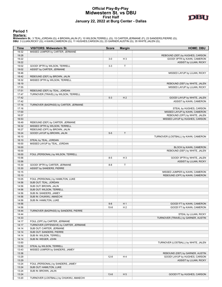#### **Official Play-By-Play Midwestern St. vs DBU First Half January 22, 2022 at Burg Center - Dallas**



**Period 1**

<mark>Starters:</mark><br>Midwestern St.: 3 TEAL,JORDAN (G); 4 BROWN,JALIN (F); 10 WILSON,TERRELL (G); 15 CARTER,JERMANE (F); 23 SANDERS,PIERRE (G);<br>DBU: 3 LUJAN,RICKY (G); 4 KAHN,CAMERON (G); 11 HUGHES,CARSON (G); 23 GARNER,AUSTIN (G);

| Time           | <b>VISITORS: Midwestern St.</b>                                       | <b>Score</b>        | <b>Margin</b>         | <b>HOME: DBU</b>                     |
|----------------|-----------------------------------------------------------------------|---------------------|-----------------------|--------------------------------------|
| 19:32          | MISSED JUMPER by CARTER, JERMANE                                      |                     |                       |                                      |
| 19:28          |                                                                       |                     |                       | REBOUND (DEF) by HUGHES, CARSON      |
| 19:22          |                                                                       | $3-0$               | H <sub>3</sub>        | GOOD! 3PTR by KAHN, CAMERON          |
| 19:22          |                                                                       |                     |                       | ASSIST by LUJAN, RICKY               |
| 19:02          | GOOD! 3PTR by WILSON, TERRELL                                         | $3-3$               | T                     |                                      |
| 19:02          | ASSIST by CARTER, JERMANE                                             |                     |                       |                                      |
| 18:46          |                                                                       |                     |                       | MISSED LAYUP by LUJAN, RICKY         |
| 18:42          | REBOUND (DEF) by BROWN, JALIN                                         |                     |                       |                                      |
| 18:32          | MISSED 3PTR by WILSON, TERRELL                                        |                     |                       |                                      |
| 18:19          |                                                                       |                     |                       | REBOUND (DEF) by WHITE, JALEN        |
| 17:55          |                                                                       |                     |                       | MISSED LAYUP by LUJAN, RICKY         |
| 17:51<br>17:47 | REBOUND (DEF) by TEAL, JORDAN<br>TURNOVER (TRAVEL) by WILSON, TERRELL |                     |                       |                                      |
| 17:42          |                                                                       | $5 - 3$             | H <sub>2</sub>        | GOOD! LAYUP by WHITE, JALEN          |
| 17:42          |                                                                       |                     |                       | ASSIST by KAHN, CAMERON              |
| 17:16          | TURNOVER (BADPASS) by CARTER, JERMANE                                 |                     |                       |                                      |
| 17:16          |                                                                       |                     |                       | STEAL by HUGHES, CARSON              |
| 17:00          |                                                                       |                     |                       | MISSED LAYUP by KAHN, CAMERON        |
| 16:57          |                                                                       |                     |                       | REBOUND (OFF) by WHITE, JALEN        |
| 16:53          |                                                                       |                     |                       | MISSED LAYUP by HUGHES, CARSON       |
| 16:49          | REBOUND (DEF) by CARTER, JERMANE                                      |                     |                       |                                      |
| 16:32          | MISSED 3PTR by WILSON, TERRELL                                        |                     |                       |                                      |
| 16:27          | REBOUND (OFF) by BROWN, JALIN                                         |                     |                       |                                      |
| 16:24          | GOOD! LAYUP by BROWN, JALIN                                           | $5-5$               | $\top$                |                                      |
| 16:10          |                                                                       |                     |                       | TURNOVER (LOSTBALL) by KAHN, CAMERON |
| 16:10          | STEAL by TEAL, JORDAN                                                 |                     |                       |                                      |
| 16:00          | MISSED LAYUP by TEAL, JORDAN                                          |                     |                       |                                      |
| 16:00          |                                                                       |                     |                       | BLOCK by KAHN, CAMERON               |
| 16:00          |                                                                       |                     |                       | REBOUND (DEF) by WHITE, JALEN        |
| 16:00          | FOUL (PERSONAL) by WILSON, TERRELL                                    |                     |                       |                                      |
| 15:56          |                                                                       | $8-5$               | H <sub>3</sub>        | GOOD! 3PTR by WHITE, JALEN           |
| 15:56          |                                                                       |                     |                       | ASSIST by LUJAN, RICKY               |
| 15:30          | GOOD! 3PTR by CARTER, JERMANE                                         | $8 - 8$             | Т                     |                                      |
| 15:30          | ASSIST by SANDERS, PIERRE                                             |                     |                       |                                      |
| 15:15          |                                                                       |                     |                       | MISSED JUMPER by KAHN, CAMERON       |
| 15:10          |                                                                       |                     |                       | REBOUND (OFF) by KAHN, CAMERON       |
| 15:05          | FOUL (PERSONAL) by HAMILTON, LUKE                                     |                     |                       |                                      |
| 14:56          | SUB OUT: TEAL, JORDAN                                                 |                     |                       |                                      |
| 14:56          | SUB OUT: BROWN, JALIN                                                 |                     |                       |                                      |
| 14:56          | SUB OUT: WILSON, TERRELL                                              |                     |                       |                                      |
| 14:56          | SUB IN: SANDERS, JAMEY                                                |                     |                       |                                      |
| 14:56          | SUB IN: CHUKWU, AMAECHI                                               |                     |                       |                                      |
| 14:56          | SUB IN: HAMILTON, LUKE                                                |                     |                       | GOOD! FT by KAHN, CAMERON            |
| 14:56<br>14:56 |                                                                       | $9 - 8$<br>$10 - 8$ | H 1<br>H <sub>2</sub> | GOOD! FT by KAHN, CAMERON            |
| 14:44          | TURNOVER (BADPASS) by SANDERS, PIERRE                                 |                     |                       |                                      |
| 14:44          |                                                                       |                     |                       | STEAL by LUJAN, RICKY                |
| 14:33          |                                                                       |                     |                       | TURNOVER (TRAVEL) by GARNER, AUSTIN  |
| 14:17          | FOUL (OFF) by CARTER, JERMANE                                         |                     |                       |                                      |
| 14:17          | TURNOVER (OFFENSIVE) by CARTER, JERMANE                               |                     |                       |                                      |
| 14:14          | SUB OUT: CARTER, JERMANE                                              |                     |                       |                                      |
| 14:14          | SUB OUT: SANDERS, PIERRE                                              |                     |                       |                                      |
| 14:14          | SUB IN: WILSON, TERRELL                                               |                     |                       |                                      |
| 14:14          | SUB IN: WEGER, JOHN                                                   |                     |                       |                                      |
| 13:50          |                                                                       |                     |                       | TURNOVER (LOSTBALL) by WHITE, JALEN  |
| 13:50          | STEAL by WILSON, TERRELL                                              |                     |                       |                                      |
| 13:43          | MISSED JUMPER by SANDERS, JAMEY                                       |                     |                       |                                      |
| 13:36          |                                                                       |                     |                       | REBOUND (DEF) by GARNER, AUSTIN      |
| 13:29          |                                                                       | $12 - 8$            | H4                    | GOOD! LAYUP by HUGHES, CARSON        |
| 13:29          |                                                                       |                     |                       | ASSIST by LUJAN, RICKY               |
| 13:24          | FOUL (PERSONAL) by SANDERS, JAMEY                                     |                     |                       |                                      |
| 13:24          | SUB OUT: HAMILTON, LUKE                                               |                     |                       |                                      |
| 13:24          | SUB IN: BROWN, JALIN                                                  |                     |                       |                                      |
| 13:24          |                                                                       | $13 - 8$            | H <sub>5</sub>        | GOOD! FT by HUGHES, CARSON           |
| 13:20          | TURNOVER (LOSTBALL) by CHUKWU, AMAECHI                                |                     |                       |                                      |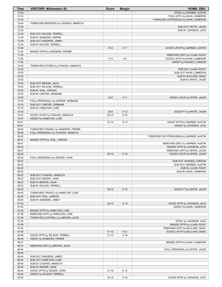| Time           | <b>VISITORS: Midwestern St.</b>                    | <b>Score</b> | <b>Margin</b>  | <b>HOME: DBU</b>                                               |
|----------------|----------------------------------------------------|--------------|----------------|----------------------------------------------------------------|
| 13:20          |                                                    |              |                | STEAL by GARNER, AUSTIN                                        |
| 13:10          |                                                    |              |                | FOUL (OFF) by KAHN, CAMERON                                    |
| 13:10          |                                                    |              |                | TURNOVER (OFFENSIVE) by KAHN, CAMERON                          |
| 12:44<br>12:39 | TURNOVER (BADPASS) by CHUKWU, AMAECHI              |              |                | SUB OUT: WHITE, JALEN                                          |
| 12:39          |                                                    |              |                | SUB IN: JOHNSON, JACK                                          |
| 12:39          | SUB OUT: WILSON, TERRELL                           |              |                |                                                                |
| 12:39          | SUB IN: SANDERS, PIERRE                            |              |                |                                                                |
| 12:39          | SUB OUT: SANDERS, JAMEY                            |              |                |                                                                |
| 12:39          | SUB IN: WILSON, TERRELL                            |              |                |                                                                |
| 12:36          |                                                    | $15 - 8$     | H <sub>7</sub> | GOOD! LAYUP by GARNER, AUSTIN                                  |
| 11:45<br>11:39 | MISSED 3PTR by SANDERS, PIERRE                     |              |                | REBOUND (DEF) by LUJAN, RICKY                                  |
| 11:25          |                                                    | $17-8$       | H <sub>9</sub> | GOOD! LAYUP by KAHN, CAMERON                                   |
| 11:25          |                                                    |              |                | ASSIST by HUGHES, CARSON                                       |
| 10:53          | TURNOVER (OTHER) by CHUKWU, AMAECHI                |              |                |                                                                |
| 10:53          |                                                    |              |                | SUB OUT: LUJAN, RICKY                                          |
| 10:53          |                                                    |              |                | SUB OUT: KAHN, CAMERON                                         |
| 10:53          |                                                    |              |                | SUB IN: BULLARD, ISAAC                                         |
| 10:53<br>10:53 | SUB OUT: BROWN, JALIN                              |              |                | SUB IN: WHITE, JALEN                                           |
| 10:53          | SUB OUT: WILSON, TERRELL                           |              |                |                                                                |
| 10:53          | SUB IN: TEAL, JORDAN                               |              |                |                                                                |
| 10:53          | SUB IN: CARTER, JERMANE                            |              |                |                                                                |
| 10:25          |                                                    | $19-8$       | H 11           | GOOD! LAYUP by WHITE, JALEN                                    |
| 10:19          | FOUL (PERSONAL) by CARTER, JERMANE                 |              |                |                                                                |
| 10:15          | SUB OUT: CARTER, JERMANE                           |              |                |                                                                |
| 10:15<br>10:15 | SUB IN: HAMILTON, LUKE                             | $20 - 8$     | H 12           | GOOD! FT by WHITE, JALEN                                       |
| 10:07          | GOOD! LAYUP by CHUKWU, AMAECHI                     | $20 - 10$    | H 10           |                                                                |
| 10:07          | ASSIST by HAMILTON, LUKE                           |              |                |                                                                |
| 09:51          |                                                    | $23-10$      | H 13           | GOOD! 3PTR by GARNER, AUSTIN                                   |
| 09:51          |                                                    |              |                | ASSIST by JOHNSON, JACK                                        |
| 09:25          | TURNOVER (TRAVEL) by SANDERS, PIERRE               |              |                |                                                                |
| 09:08          | FOUL (PERSONAL) by CHUKWU, AMAECHI                 |              |                |                                                                |
| 09:05          |                                                    |              |                | TURNOVER (OUTOFBOUNDS) by GARNER, AUSTIN                       |
| 08:51<br>08:47 | MISSED 3PTR by TEAL, JORDAN                        |              |                | REBOUND (DEF) by GARNER, AUSTIN                                |
| 08:30          |                                                    |              |                | MISSED 3PTR by JOHNSON, JACK                                   |
| 08:27          |                                                    |              |                | REBOUND (OFF) by WHITE, JALEN                                  |
| 08:25          |                                                    | $25-10$      | H 15           | GOOD! LAYUP by WHITE, JALEN                                    |
| 08:23          | FOUL (PERSONAL) by WEGER, JOHN                     |              |                |                                                                |
| 08:23          |                                                    |              |                | SUB OUT: HUGHES, CARSON                                        |
| 08:23<br>08:23 |                                                    |              |                | SUB OUT: GARNER, AUSTIN                                        |
| 08:23          |                                                    |              |                | SUB IN: LUJAN, RICKY<br>SUB IN: KAHN, CAMERON                  |
| 08:23          | SUB OUT: CHUKWU, AMAECHI                           |              |                |                                                                |
| 08:23          | SUB OUT: WEGER, JOHN                               |              |                |                                                                |
| 08:23          | SUB IN: BROWN, JALIN                               |              |                |                                                                |
| 08:23          | SUB IN: WILSON, TERRELL                            |              |                |                                                                |
| 08:23          |                                                    | $26-10$      | H 16           | GOOD! FT by WHITE, JALEN                                       |
| 08:05          | TURNOVER (TRAVEL) by HAMILTON, LUKE                |              |                |                                                                |
| 08:00<br>08:00 | SUB OUT: TEAL, JORDAN<br>SUB IN: SANDERS, JAMEY    |              |                |                                                                |
| 07:53          |                                                    | $29-10$      | H 19           | GOOD! 3PTR by JOHNSON, JACK                                    |
| 07:53          |                                                    |              |                | ASSIST by KAHN, CAMERON                                        |
| 07:40          | MISSED 3PTR by HAMILTON, LUKE                      |              |                |                                                                |
| 07:36          | REBOUND (OFF) by HAMILTON, LUKE                    |              |                |                                                                |
| 07:29          | TURNOVER (LOSTBALL) by BROWN, JALIN                |              |                |                                                                |
| 07:29          |                                                    |              |                | STEAL by JOHNSON, JACK                                         |
| 07:08<br>07:04 |                                                    |              |                | MISSED 3PTR by LUJAN, RICKY<br>REBOUND (OFF) by BULLARD, ISAAC |
| 07:00          |                                                    | $31 - 10$    | H 21           | GOOD! LAYUP by BULLARD, ISAAC                                  |
| 06:48          | GOOD! 3PTR by WILSON, TERRELL                      | $31 - 13$    | H 18           |                                                                |
| 06:48          | ASSIST by SANDERS, PIERRE                          |              |                |                                                                |
| 06:27          |                                                    |              |                | MISSED 3PTR by KAHN, CAMERON                                   |
| 06:23          | REBOUND (DEF) by BROWN, JALIN                      |              |                |                                                                |
| 06:04          |                                                    |              |                | FOUL (PERSONAL) by WHITE, JALEN                                |
| 06:04          |                                                    |              |                |                                                                |
| 06:04<br>06:04 | SUB OUT: SANDERS, JAMEY<br>SUB OUT: HAMILTON, LUKE |              |                |                                                                |
| 06:04          | SUB IN: CHUKWU, AMAECHI                            |              |                |                                                                |
| 06:04          | SUB IN: WEGER, JOHN                                |              |                |                                                                |
| 06:04          | GOOD! 3PTR by WEGER, JOHN                          | $31 - 16$    | H 15           |                                                                |
| 06:04          | ASSIST by WILSON, TERRELL                          |              |                |                                                                |
| 05:55          |                                                    | $34 - 16$    | H 18           | GOOD! 3PTR by JOHNSON, JACK                                    |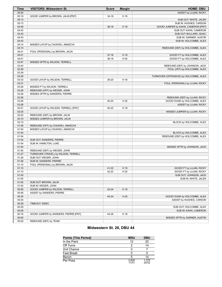| <b>Time</b>    | <b>VISITORS: Midwestern St.</b>       | <b>Score</b> | <b>Margin</b> | <b>HOME: DBU</b>                                              |
|----------------|---------------------------------------|--------------|---------------|---------------------------------------------------------------|
| 05:55          |                                       |              |               | ASSIST by LUJAN, RICKY                                        |
| 05:19          | GOOD! JUMPER by BROWN, JALIN [PNT]    | $34-18$      | H 16          |                                                               |
| 05:13          |                                       |              |               | SUB OUT: WHITE, JALEN                                         |
| 05:13          |                                       |              |               | SUB IN: HUGHES, CARSON                                        |
| 04:48          |                                       | $36-18$      | H 18          | GOOD! JUMPER by KAHN, CAMERON [PNT]                           |
| 04:43          |                                       |              |               | SUB OUT: KAHN, CAMERON                                        |
| 04:43          |                                       |              |               | SUB OUT: BULLARD, ISAAC                                       |
| 04:43          |                                       |              |               | SUB IN: GARNER, AUSTIN                                        |
| 04:43          |                                       |              |               | SUB IN: HOLCOMBE, ALEX                                        |
| 04:14          | MISSED LAYUP by CHUKWU, AMAECHI       |              |               |                                                               |
| 04:10          |                                       |              |               | REBOUND (DEF) by HOLCOMBE, ALEX                               |
| 04:01          | FOUL (PERSONAL) by BROWN, JALIN       |              |               |                                                               |
| 04:01          |                                       | $37-18$      | H 19          | GOOD! FT by HOLCOMBE, ALEX                                    |
| 04:01          |                                       | $38-18$      | H 20          | GOOD! FT by HOLCOMBE, ALEX                                    |
| 03:47          | MISSED 3PTR by WILSON, TERRELL        |              |               |                                                               |
| 03:43          |                                       |              |               | REBOUND (DEF) by JOHNSON, JACK                                |
| 03:39          |                                       |              |               | FOUL (OFF) by HOLCOMBE, ALEX                                  |
| 03:39          |                                       |              |               |                                                               |
| 03:39          |                                       |              |               | TURNOVER (OFFENSIVE) by HOLCOMBE, ALEX                        |
| 03:33          | GOOD! LAYUP by WILSON, TERRELL        | 38-20        | H 18          |                                                               |
| 03:31          |                                       |              |               | FOUL (PERSONAL) by LUJAN, RICKY                               |
| 03:26          | MISSED FT by WILSON, TERRELL          |              |               |                                                               |
| 03:26          | REBOUND (OFF) by WEGER, JOHN          |              |               |                                                               |
| 03:26          | MISSED 3PTR by SANDERS, PIERRE        |              |               |                                                               |
| 03:26<br>03:26 |                                       | 40-20        | H 20          | REBOUND (DEF) by LUJAN, RICKY<br>GOOD! DUNK by HOLCOMBE, ALEX |
| 03:26          |                                       |              |               |                                                               |
| 02:51          | GOOD! LAYUP by WILSON, TERRELL [PNT]  | 40-22        | H 18          | ASSIST by LUJAN, RICKY                                        |
| 02:25          |                                       |              |               | MISSED JUMPER by LUJAN, RICKY                                 |
| 02:20          | REBOUND (DEF) by BROWN, JALIN         |              |               |                                                               |
| 02:10          | MISSED JUMPER by BROWN, JALIN         |              |               |                                                               |
| 02:10          |                                       |              |               | BLOCK by HOLCOMBE, ALEX                                       |
| 01:58          | REBOUND (OFF) by CHUKWU, AMAECHI      |              |               |                                                               |
| 01:54          | MISSED LAYUP by CHUKWU, AMAECHI       |              |               |                                                               |
| 01:54          |                                       |              |               | BLOCK by HOLCOMBE, ALEX                                       |
| 01:54          |                                       |              |               | REBOUND (DEF) by HOLCOMBE, ALEX                               |
| 01:54          | SUB OUT: SANDERS, PIERRE              |              |               |                                                               |
| 01:54          | SUB IN: HAMILTON, LUKE                |              |               |                                                               |
| 01:54          |                                       |              |               | MISSED 3PTR by JOHNSON, JACK                                  |
| 01:50          | REBOUND (DEF) by WEGER, JOHN          |              |               |                                                               |
| 01:27          | TURNOVER (TRAVEL) by WILSON, TERRELL  |              |               |                                                               |
| 01:26          | SUB OUT: WEGER, JOHN                  |              |               |                                                               |
| 01:26          | SUB IN: SANDERS, PIERRE               |              |               |                                                               |
| 01:10          | FOUL (PERSONAL) by BROWN, JALIN       |              |               |                                                               |
| 01:10          |                                       | 41-22        | H 19          | GOOD! FT by LUJAN, RICKY                                      |
| 01:10          |                                       | 42-22        | H 20          | GOOD! FT by LUJAN, RICKY                                      |
| 01:00          |                                       |              |               | SUB OUT: JOHNSON, JACK                                        |
| 01:00          |                                       |              |               | SUB IN: WHITE, JALEN                                          |
| 01:00          | SUB OUT: BROWN, JALIN                 |              |               |                                                               |
| 01:00          | SUB IN: WEGER, JOHN                   |              |               |                                                               |
| 00:56          | GOOD! JUMPER by WILSON, TERRELL       | 42-24        | H 18          |                                                               |
| 00:56          | ASSIST by SANDERS, PIERRE             |              |               |                                                               |
| 00:35          |                                       | 44-24        | H 20          | GOOD! DUNK by HOLCOMBE, ALEX                                  |
| 00:35          |                                       |              |               | ASSIST by HUGHES, CARSON                                      |
| 00:29          | TIMEOUT 30SEC                         |              |               |                                                               |
| 00:29          |                                       |              |               | SUB OUT: HOLCOMBE, ALEX                                       |
| 00:29          |                                       |              |               | SUB IN: KAHN, CAMERON                                         |
| 00:16          | GOOD! JUMPER by SANDERS, PIERRE [PNT] | 44-26        | H 18          |                                                               |
| 00:05          |                                       |              |               | MISSED 3PTR by GARNER, AUSTIN                                 |
| 00:00          | REBOUND (DEF) by TEAM                 |              |               |                                                               |
|                |                                       |              |               |                                                               |

# **Midwestern St. 26, DBU 44**

| <b>Points (This Period)</b> | <b>MSU</b>     | <b>DBU</b>     |
|-----------------------------|----------------|----------------|
| In the Paint                | 12             | 20             |
| Off Turns                   |                | 14             |
| 2nd Chance                  |                |                |
| <b>Fast Break</b>           |                |                |
| Bench                       |                | 14             |
| Per Poss                    | 0.839<br>11/31 | 1.375<br>20/32 |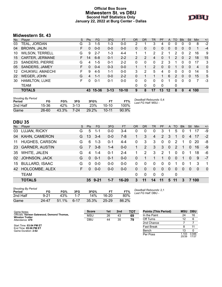# **Official Box Score Midwestern St. vs DBU Second Half Statistics Only January 22, 2022 at Burg Center - Dallas**



# **Midwestern St. 43**

| No. | Plaver                 | S  | <b>Pts</b> | FG       | 3FG      | <b>FT</b> | <b>OR</b>      | <b>DR</b> | TR             | <b>PF</b> | A  | <b>TO</b>      | <b>B</b> lk | Stl          | Min | $+/-$        |
|-----|------------------------|----|------------|----------|----------|-----------|----------------|-----------|----------------|-----------|----|----------------|-------------|--------------|-----|--------------|
| 03  | TEAL, JORDAN           | G  | 3          | $1-5$    | 1-3      | $0-0$     | 2              |           | 3              | 4         | 0  | 0              |             | 0            | 8   | $-2$         |
| 04  | <b>BROWN, JALIN</b>    | F. | 0          | $0 - 0$  | $0 - 0$  | $0 - 0$   | 0              | 0         | $\mathbf{0}$   | 0         | 0  | $\overline{0}$ | 0           | 0            | 1   | $-4$         |
| 10  | <b>WILSON, TERRELL</b> | G  | 9          | $2 - 7$  | $1 - 3$  | $4 - 4$   |                |           | 2              | 2         |    | 2              | 0           | 2            | 16  | 9            |
| 15  | <b>CARTER, JERMANE</b> | F. | 14         | $6 - 8$  | $0 - 1$  | $2 - 2$   | $\overline{2}$ | 2         | 4              | 0         |    | $\mathcal{P}$  | $\Omega$    | 2            | 18  | 15           |
| 23  | <b>SANDERS, PIERRE</b> | G  | 4          | $1 - 5$  | $0 - 1$  | $2 - 2$   | 0              | 0         | $\Omega$       | 2         | 3  |                | 0           | 0            | 17  | 3            |
| 05  | SANDERS, JAMEY         | F. | 0          | $0 - 4$  | $0 - 3$  | $0 - 0$   |                | 1         | $\overline{2}$ | 0         | 0  |                | $\Omega$    | $\mathbf{0}$ | 4   | $\mathbf{0}$ |
| 12  | CHUKWU, AMAECHI        | F. | 9          | $4 - 5$  | $1 - 1$  | $0 - 0$   | 3              | 2         | 5              | 4         | 0  | $\Omega$       | $\Omega$    | 0            | 14  | 5            |
| 22  | WEGER, JOHN            | G  | 4          | $1 - 1$  | $0 - 0$  | $2 - 2$   | 0              |           |                | 1         | 6  | $\mathcal{P}$  | $\Omega$    | 0            | 15  | 5            |
| 30  | <b>HAMILTON, LUKE</b>  | F. | 0          | $0 - 1$  | $0 - 1$  | $0 - 0$   | 0              | 0         | 0              | 0         |    | 0              | 0           | 0            | 7   | $-3$         |
|     | TEAM                   |    |            |          |          |           | 0              | 0         | $\Omega$       | 0         |    | 0              |             |              |     |              |
|     | <b>TOTALS</b>          |    |            | 43 15-36 | $3 - 13$ | $10 - 10$ | 9              | 8         | 17             | 13        | 12 | 8              | 0           | 4            | 100 |              |

| <b>Shooting By Period</b><br>Period | FG        | FG%   | 3FG    | 3FG%       |           | FT%   | Deadball Rebounds: 0,4<br>Last FG Half: MSU - |
|-------------------------------------|-----------|-------|--------|------------|-----------|-------|-----------------------------------------------|
| 2nd Half                            | 15-36     | 42%   | $3-13$ | <b>23%</b> | $10-10$   | 100%  |                                               |
| Game                                | $26 - 60$ | 43.3% | 7-24   | 29.2%      | $10 - 11$ | 90.9% |                                               |

# **DBU 35**

| No. | Plaver                | S. | <b>Pts</b> | FG.     | 3FG     | FT        | OR | <b>DR</b> | TR       | PF             | $\mathsf{A}$   | TO            | <b>Blk</b> | Stl      | <b>Min</b> | $+/-$          |
|-----|-----------------------|----|------------|---------|---------|-----------|----|-----------|----------|----------------|----------------|---------------|------------|----------|------------|----------------|
| 03  | LUJAN, RICKY          | G  | 5          | $1 - 1$ | $0 - 0$ | 3-4       | 0  | 0         | 0        | 3              |                | 5             | O          |          | 17         | -9             |
| 04  | <b>KAHN, CAMERON</b>  | G  | 13         | $3 - 4$ | $0 - 0$ | $7 - 8$   |    | 3         | 4        | $\overline{2}$ | 3              |               | 0          | 4        | 17         | $-2$           |
| 11  | <b>HUGHES, CARSON</b> | G  | 6          | $1 - 3$ | 0-1     | $4 - 4$   | 0  | 3         | 3        | $\Omega$       | 0              | 2             |            | 0        | 20         | -8             |
| 23  | <b>GARNER, AUSTIN</b> | G  | 7          | $3 - 8$ | $1 - 4$ | $0 - 0$   |    | 2         | 3        | 3              | $\Omega$       | $\mathcal{P}$ | 1          | 0        | 16         | -9             |
| 35  | <b>WHITE, JALEN</b>   | G  | 4          | $1 - 4$ | $0 - 1$ | $2 - 4$   |    | 2         | 3        | 2              |                | 0             | $\Omega$   |          | 18         | -6             |
| 02  | <b>JOHNSON, JACK</b>  | G  | $\Omega$   | $0 - 1$ | $0 - 1$ | $0 - 0$   | 0  |           |          | 1              | $\Omega$       | $\Omega$      | 1          | $\Omega$ | 9          | $-7$           |
| 15  | <b>BULLARD, ISAAC</b> | G  | 0          | $0 - 0$ | $0-0$   | $0-0$     | 0  | 0         | $\Omega$ | $\Omega$       | $\mathbf{0}$   |               | 0          |          | 3          | $\overline{1}$ |
| 42  | HOLCOMBE, ALEX        | F  | $\Omega$   | $0 - 0$ | $0 - 0$ | $0 - 0$   | 0  | 0         | $\Omega$ | $\Omega$       | $\overline{0}$ | $\Omega$      | $\Omega$   | $\Omega$ | $\Omega$   | $\Omega$       |
|     | <b>TEAM</b>           |    |            |         |         |           | 0  | 0         | $\Omega$ | 0              |                | 0             |            |          |            |                |
|     | <b>TOTALS</b>         |    |            | 35 9-21 | $1 - 7$ | $16 - 20$ | 3  | 11        | 14       | 11             | 5              | 11            | 3          |          | 7 100      |                |

| <b>Shooting By Period</b><br>Period | FG       | FG%   | 3FG      | 3FG%  |       | FT%   |
|-------------------------------------|----------|-------|----------|-------|-------|-------|
| 2nd Half                            | $9 - 21$ | 43%   | $1 - 7$  | 14%   | 16-20 | 80%   |
| Game                                | 24-47    | 51.1% | $6 - 17$ | 35.3% | 25-29 | 86.2% |

*Deadball Rebounds:* 2,1 *Last FG Half:* DBU -

| Game Notes:                                                          | <b>Score</b> | 1st | 2 <sub>nd</sub> | ТОТ | <b>Points (This Period)</b> | <b>MSU</b>    | <b>DBU</b>     |
|----------------------------------------------------------------------|--------------|-----|-----------------|-----|-----------------------------|---------------|----------------|
| Officials: Varwan Gatewood, Demond Thomas,<br><b>Winston Trotter</b> | <b>MSU</b>   | 26  | 43              | 69  | In the Paint                | 24            | 16             |
| Attendance: 479                                                      | <b>DBU</b>   | 44  | 35              | 79  | Off Turns                   |               |                |
|                                                                      |              |     |                 |     | 2nd Chance                  |               |                |
| Start Time: 03:04 PM ET<br>End Time: 05:06 PM ET                     |              |     |                 |     | <b>Fast Break</b>           |               |                |
| Game Duration: 2:02                                                  |              |     |                 |     | Bench                       |               |                |
|                                                                      |              |     |                 |     | Per Poss                    | .103<br>20/39 | 0.946<br>17/37 |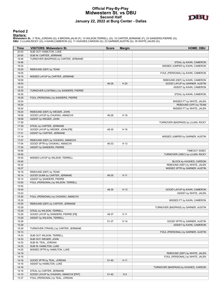#### **Official Play-By-Play Midwestern St. vs DBU Second Half January 22, 2022 at Burg Center - Dallas**



**Period 2**

<mark>Starters:</mark><br>Midwestern St.: 3 TEAL,JORDAN (G); 4 BROWN,JALIN (F); 10 WILSON,TERRELL (G); 15 CARTER,JERMANE (F); 23 SANDERS,PIERRE (G);<br>DBU: 3 LUJAN,RICKY (G); 4 KAHN,CAMERON (G); 11 HUGHES,CARSON (G); 23 GARNER,AUSTIN (G);

| Time  | <b>VISITORS: Midwestern St.</b>        | <b>Score</b> | <b>Margin</b> | <b>HOME: DBU</b>                     |
|-------|----------------------------------------|--------------|---------------|--------------------------------------|
| 20:00 | SUB OUT: HAMILTON, LUKE                |              |               |                                      |
| 20:00 | SUB IN: CARTER, JERMANE                |              |               |                                      |
| 19:46 | TURNOVER (BADPASS) by CARTER, JERMANE  |              |               |                                      |
| 19:46 |                                        |              |               | STEAL by KAHN, CAMERON               |
| 19:34 |                                        |              |               | MISSED JUMPER by KAHN, CAMERON       |
| 19:25 | REBOUND (DEF) by TEAM                  |              |               |                                      |
| 19:25 |                                        |              |               | FOUL (PERSONAL) by KAHN, CAMERON     |
| 19:15 | MISSED LAYUP by CARTER, JERMANE        |              |               |                                      |
| 19:09 |                                        |              |               | REBOUND (DEF) by KAHN, CAMERON       |
| 18:53 |                                        | 46-26        | H 20          | GOOD! LAYUP by GARNER, AUSTIN        |
| 18:53 |                                        |              |               | ASSIST by KAHN, CAMERON              |
| 18:35 | TURNOVER (LOSTBALL) by SANDERS, PIERRE |              |               |                                      |
| 18:35 |                                        |              |               | STEAL by KAHN, CAMERON               |
| 18:29 | FOUL (PERSONAL) by SANDERS, PIERRE     |              |               |                                      |
| 18:24 |                                        |              |               | MISSED FT by WHITE, JALEN            |
| 18:24 |                                        |              |               | REBOUND (OFF) by TEAM                |
| 18:24 |                                        |              |               | MISSED FT by WHITE, JALEN            |
| 18:24 | REBOUND (DEF) by WEGER, JOHN           |              |               |                                      |
| 18:08 | GOOD! LAYUP by CHUKWU, AMAECHI         | 46-28        | H 18          |                                      |
| 18:08 | ASSIST by WEGER, JOHN                  |              |               |                                      |
| 17:39 |                                        |              |               | TURNOVER (BADPASS) by LUJAN, RICKY   |
| 17:39 | STEAL by CARTER, JERMANE               |              |               |                                      |
| 17:31 | GOOD! LAYUP by WEGER, JOHN [FB]        | 46-30        | H 16          |                                      |
| 17:31 | ASSIST by CARTER, JERMANE              |              |               |                                      |
| 17:14 |                                        |              |               | MISSED JUMPER by GARNER, AUSTIN      |
| 17:07 | REBOUND (DEF) by CHUKWU, AMAECHI       |              |               |                                      |
| 17:04 | GOOD! 3PTR by CHUKWU, AMAECHI          | 46-33        | H 13          |                                      |
| 17:04 | ASSIST by SANDERS, PIERRE              |              |               |                                      |
| 16:56 |                                        |              |               | TIMEOUT 30SEC                        |
| 16:55 |                                        |              |               | TURNOVER (3SEC) by LUJAN, RICKY      |
| 16:40 | MISSED LAYUP by WILSON, TERRELL        |              |               |                                      |
| 16:40 |                                        |              |               | BLOCK by HUGHES, CARSON              |
| 16:32 |                                        |              |               | REBOUND (DEF) by WHITE, JALEN        |
| 16:27 |                                        |              |               | MISSED 3PTR by GARNER, AUSTIN        |
| 16:18 | REBOUND (DEF) by TEAM                  |              |               |                                      |
| 16:14 | GOOD! DUNK by CARTER, JERMANE          | 46-35        | H 11          |                                      |
| 16:14 | ASSIST by SANDERS, PIERRE              |              |               |                                      |
| 15:55 | FOUL (PERSONAL) by WILSON, TERRELL     |              |               |                                      |
| 15:55 |                                        |              |               |                                      |
| 15:43 |                                        | 48-35        | H 13          | GOOD! LAYUP by KAHN, CAMERON         |
| 15:43 |                                        |              |               | ASSIST by WHITE, JALEN               |
| 15:30 | FOUL (PERSONAL) by CHUKWU, AMAECHI     |              |               |                                      |
| 15:30 |                                        |              |               | MISSED FT by KAHN, CAMERON           |
|       |                                        |              |               |                                      |
| 15:30 | REBOUND (DEF) by CARTER, JERMANE       |              |               |                                      |
| 15:29 |                                        |              |               | TURNOVER (BADPASS) by GARNER, AUSTIN |
| 15:29 | STEAL by WILSON, TERRELL               |              |               |                                      |
| 15:29 | GOOD! LAYUP by SANDERS, PIERRE [FB]    | 48-37        | H 11          |                                      |
| 15:29 | ASSIST by WILSON, TERRELL              |              |               |                                      |
| 15:29 |                                        | 51-37        | H 14          | GOOD! 3PTR by GARNER, AUSTIN         |
| 15:29 |                                        |              |               | ASSIST by KAHN, CAMERON              |
| 15:29 | TURNOVER (TRAVEL) by CARTER, JERMANE   |              |               |                                      |
| 15:13 |                                        |              |               | FOUL (PERSONAL) by GARNER, AUSTIN    |
| 14:33 | SUB OUT: WILSON, TERRELL               |              |               |                                      |
| 14:33 | SUB OUT: WEGER, JOHN                   |              |               |                                      |
| 14:33 | SUB IN: TEAL, JORDAN                   |              |               |                                      |
| 14:33 | SUB IN: HAMILTON, LUKE                 |              |               |                                      |
| 14:25 | MISSED 3PTR by HAMILTON, LUKE          |              |               |                                      |
| 14:19 |                                        |              |               | REBOUND (DEF) by WHITE, JALEN        |
| 14:16 |                                        |              |               | FOUL (PERSONAL) by WHITE, JALEN      |
| 14:16 | GOOD! 3PTR by TEAL, JORDAN             | $51 - 40$    | H 11          |                                      |
| 14:16 | ASSIST by HAMILTON, LUKE               |              |               |                                      |
| 14:16 |                                        |              |               | TURNOVER (BADPASS) by HUGHES, CARSON |
| 14:16 | STEAL by CARTER, JERMANE               |              |               |                                      |
| 14:10 | GOOD! LAYUP by CHUKWU, AMAECHI [PNT]   | $51 - 42$    | H9            |                                      |
| 13:37 | FOUL (PERSONAL) by TEAL, JORDAN        |              |               |                                      |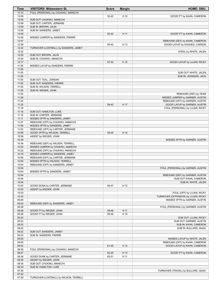| Time           | <b>VISITORS: Midwestern St.</b>                                    | <b>Score</b> | <b>Margin</b> | <b>HOME: DBU</b>                                         |
|----------------|--------------------------------------------------------------------|--------------|---------------|----------------------------------------------------------|
| 13:12          | FOUL (PERSONAL) by CHUKWU, AMAECHI                                 |              |               |                                                          |
| 13:09          |                                                                    | 52-42        | H 10          | GOOD! FT by KAHN, CAMERON                                |
| 13:09          | SUB OUT: CHUKWU, AMAECHI                                           |              |               |                                                          |
| 13:09<br>13:09 | SUB OUT: CARTER, JERMANE<br>SUB IN: BROWN, JALIN                   |              |               |                                                          |
| 13:09          | SUB IN: SANDERS, JAMEY                                             |              |               |                                                          |
| 13:09          |                                                                    | 53-42        | H 11          | GOOD! FT by KAHN, CAMERON                                |
| 12:56          | MISSED JUMPER by SANDERS, PIERRE                                   |              |               |                                                          |
| 12:47          |                                                                    |              |               | REBOUND (DEF) by KAHN, CAMERON                           |
| 12:39          |                                                                    | 55-42        | H 13          | GOOD! LAYUP by HUGHES, CARSON                            |
| 12:22          | TURNOVER (LOSTBALL) by SANDERS, JAMEY                              |              |               |                                                          |
| 12:22          |                                                                    |              |               | STEAL by WHITE, JALEN                                    |
| 12:20          | SUB OUT: BROWN, JALIN                                              |              |               |                                                          |
| 12:20<br>12:17 | SUB IN: CHUKWU, AMAECHI                                            | 57-42        | H 15          | GOOD! LAYUP by LUJAN, RICKY                              |
| 11:56          | MISSED LAYUP by SANDERS, PIERRE                                    |              |               |                                                          |
| 11:55          |                                                                    |              |               |                                                          |
| 11:55          |                                                                    |              |               | SUB OUT: WHITE, JALEN                                    |
| 11:55          |                                                                    |              |               | SUB IN: JOHNSON, JACK                                    |
| 11:55          | SUB OUT: TEAL, JORDAN                                              |              |               |                                                          |
| 11:55          | SUB OUT: SANDERS, PIERRE                                           |              |               |                                                          |
| 11:55          | SUB IN: WILSON, TERRELL                                            |              |               |                                                          |
| 11:55          | SUB IN: WEGER, JOHN                                                |              |               |                                                          |
| 11:50<br>11:29 |                                                                    |              |               | REBOUND (DEF) by TEAM<br>MISSED JUMPER by GARNER, AUSTIN |
| 11:24          |                                                                    |              |               | REBOUND (OFF) by GARNER, AUSTIN                          |
| 11:22          |                                                                    | 59-42        | H 17          | GOOD! LAYUP by GARNER, AUSTIN                            |
| 11:16          |                                                                    |              |               | FOUL (PERSONAL) by LUJAN, RICKY                          |
| 11:16          | SUB OUT: HAMILTON, LUKE                                            |              |               |                                                          |
| 11:16          | SUB IN: CARTER, JERMANE                                            |              |               |                                                          |
| 11:11          | MISSED 3PTR by SANDERS, JAMEY                                      |              |               |                                                          |
| 11:07          | REBOUND (OFF) by CHUKWU, AMAECHI                                   |              |               |                                                          |
| 11:05<br>11:03 | MISSED 3PTR by SANDERS, JAMEY<br>REBOUND (OFF) by CARTER, JERMANE  |              |               |                                                          |
| 10:58          | GOOD! 3PTR by WILSON, TERRELL                                      | 59-45        | H 14          |                                                          |
| 10:58          | ASSIST by WEGER, JOHN                                              |              |               |                                                          |
| 10:39          |                                                                    |              |               | MISSED 3PTR by GARNER, AUSTIN                            |
| 10:36          | REBOUND (DEF) by WILSON, TERRELL                                   |              |               |                                                          |
| 10:25          | MISSED JUMPER by CHUKWU, AMAECHI                                   |              |               |                                                          |
| 10:22          | REBOUND (OFF) by CHUKWU, AMAECHI                                   |              |               |                                                          |
| 10:16          | MISSED JUMPER by SANDERS, JAMEY                                    |              |               |                                                          |
| 10:06<br>10:04 | REBOUND (OFF) by CARTER, JERMANE<br>MISSED 3PTR by WILSON, TERRELL |              |               |                                                          |
| 10:04          | REBOUND (OFF) by SANDERS, JAMEY                                    |              |               |                                                          |
| 10:04          |                                                                    |              |               | FOUL (PERSONAL) by GARNER, AUSTIN                        |
| 10:04          | MISSED 3PTR by SANDERS, JAMEY                                      |              |               |                                                          |
| 10:04          |                                                                    |              |               | REBOUND (DEF) by GARNER, AUSTIN                          |
| 10:04          |                                                                    |              |               | SUB OUT: KAHN, CAMERON                                   |
| 10:04          |                                                                    |              |               | SUB IN: WHITE, JALEN                                     |
| 10:03<br>10:03 | GOOD! DUNK by CARTER, JERMANE<br>ASSIST by WEGER, JOHN             | 59-47        | H 12          |                                                          |
| 10:03          |                                                                    |              |               | FOUL (OFF) by LUJAN, RICKY                               |
| 10:03          |                                                                    |              |               | TURNOVER (OFFENSIVE) by LUJAN, RICKY                     |
| 09:48          |                                                                    |              |               | MISSED 3PTR by GARNER, AUSTIN                            |
| 09:42          | REBOUND (DEF) by SANDERS, JAMEY                                    |              |               |                                                          |
| 09:28          |                                                                    |              |               | FOUL (PERSONAL) by GARNER, AUSTIN                        |
| 09:28          | GOOD! FT by WEGER, JOHN                                            | 59-48        | H 11          |                                                          |
| 09:28          | GOOD! FT by WEGER, JOHN                                            | 59-49        | H 10          |                                                          |
| 09:22<br>09:22 |                                                                    |              |               | SUB OUT: LUJAN, RICKY<br>SUB OUT: GARNER, AUSTIN         |
| 09:22          |                                                                    |              |               | SUB IN: KAHN, CAMERON                                    |
| 09:22          |                                                                    |              |               | SUB IN: BULLARD, ISAAC                                   |
| 09:22          | SUB OUT: SANDERS, JAMEY                                            |              |               |                                                          |
| 09:22          | SUB IN: SANDERS, PIERRE                                            |              |               |                                                          |
| 09:20          |                                                                    |              |               | MISSED LAYUP by WHITE, JALEN                             |
| 09:05          |                                                                    |              |               | REBOUND (OFF) by KAHN, CAMERON                           |
| 09:02          |                                                                    | 61-49        | H 12          | GOOD! LAYUP by KAHN, CAMERON                             |
| 08:55<br>08:47 | FOUL (PERSONAL) by CHUKWU, AMAECHI                                 | 62-49        | H 13          | GOOD! FT by KAHN, CAMERON                                |
| 08:36          | GOOD! DUNK by CARTER, JERMANE                                      | 62-51        | H 11          |                                                          |
| 08:36          | ASSIST by WEGER, JOHN                                              |              |               |                                                          |
| 08:30          | SUB OUT: CHUKWU, AMAECHI                                           |              |               |                                                          |
| 08:30          | SUB IN: HAMILTON, LUKE                                             |              |               |                                                          |
| 07:45          |                                                                    |              |               | TURNOVER (TRAVEL) by BULLARD, ISAAC                      |
| 07:42          |                                                                    |              |               |                                                          |
| 07:29          | TURNOVER (LOSTBALL) by WILSON, TERRELL                             |              |               |                                                          |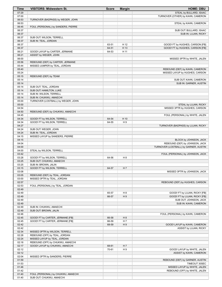| Time           | <b>VISITORS: Midwestern St.</b>                                  | <b>Score</b> | <b>Margin</b>                    | <b>HOME: DBU</b>                                               |
|----------------|------------------------------------------------------------------|--------------|----------------------------------|----------------------------------------------------------------|
| 07:29          |                                                                  |              |                                  | STEAL by BULLARD, ISAAC                                        |
| 07:00          |                                                                  |              |                                  | TURNOVER (OTHER) by KAHN, CAMERON                              |
| 06:53          | TURNOVER (BADPASS) by WEGER, JOHN                                |              |                                  |                                                                |
| 06:53          |                                                                  |              |                                  | STEAL by KAHN, CAMERON                                         |
| 06:45<br>06:37 | FOUL (PERSONAL) by SANDERS, PIERRE                               |              |                                  | SUB OUT: BULLARD, ISAAC                                        |
| 06:37          |                                                                  |              |                                  | SUB IN: LUJAN, RICKY                                           |
| 06:37          | SUB OUT: WILSON, TERRELL                                         |              |                                  |                                                                |
| 06:37          | SUB IN: TEAL, JORDAN                                             |              |                                  |                                                                |
| 06:37          |                                                                  | 63-51        | H 12                             | GOOD! FT by HUGHES, CARSON [FB]                                |
| 06:37          |                                                                  | 64-51        | H 13                             | GOOD! FT by HUGHES, CARSON [FB]                                |
| 06:21          | GOOD! LAYUP by CARTER, JERMANE                                   | 64-53        | H 11                             |                                                                |
| 06:21          | ASSIST by WEGER, JOHN                                            |              |                                  |                                                                |
| 06:00          |                                                                  |              |                                  | MISSED 3PTR by WHITE, JALEN                                    |
| 05:56          | REBOUND (DEF) by CARTER, JERMANE                                 |              |                                  |                                                                |
| 05:44          | MISSED JUMPER by TEAL, JORDAN                                    |              |                                  |                                                                |
| 05:40<br>05:24 |                                                                  |              |                                  | REBOUND (DEF) by KAHN, CAMERON                                 |
| 05:15          | REBOUND (DEF) by TEAM                                            |              |                                  | MISSED LAYUP by HUGHES, CARSON                                 |
| 05:14          |                                                                  |              |                                  | SUB OUT: KAHN, CAMERON                                         |
| 05:14          |                                                                  |              |                                  | SUB IN: GARNER, AUSTIN                                         |
| 05:14          | SUB OUT: TEAL, JORDAN                                            |              |                                  |                                                                |
| 05:14          | SUB OUT: HAMILTON, LUKE                                          |              |                                  |                                                                |
| 05:14          | SUB IN: WILSON, TERRELL                                          |              |                                  |                                                                |
| 05:14          | SUB IN: CHUKWU, AMAECHI                                          |              |                                  |                                                                |
| 05:00          | TURNOVER (LOSTBALL) by WEGER, JOHN                               |              |                                  |                                                                |
| 05:00          |                                                                  |              |                                  | STEAL by LUJAN, RICKY                                          |
| 04:54          |                                                                  |              |                                  | MISSED 3PTR by HUGHES, CARSON                                  |
| 04:50<br>04:45 | REBOUND (DEF) by CHUKWU, AMAECHI                                 |              |                                  | FOUL (PERSONAL) by WHITE, JALEN                                |
| 04:34          | GOOD! FT by WILSON, TERRELL                                      | 64-54        | H 10                             |                                                                |
| 04:34          | GOOD! FT by WILSON, TERRELL                                      | 64-55        | H <sub>9</sub>                   |                                                                |
| 04:27          |                                                                  |              |                                  | TURNOVER (BADPASS) by LUJAN, RICKY                             |
| 04:24          | SUB OUT: WEGER, JOHN                                             |              |                                  |                                                                |
| 04:24          | SUB IN: TEAL, JORDAN                                             |              |                                  |                                                                |
| 04:15          | MISSED LAYUP by SANDERS, PIERRE                                  |              |                                  |                                                                |
| 04:15          |                                                                  |              |                                  | BLOCK by JOHNSON, JACK                                         |
| 04:04          |                                                                  |              |                                  | REBOUND (DEF) by JOHNSON, JACK                                 |
| 04:00          |                                                                  |              |                                  | TURNOVER (LOSTBALL) by GARNER, AUSTIN                          |
| 04:00          | STEAL by WILSON, TERRELL                                         |              |                                  |                                                                |
| 03:42<br>03:28 | GOOD! FT by WILSON, TERRELL                                      | 64-56        | H <sub>8</sub>                   | FOUL (PERSONAL) by JOHNSON, JACK                               |
| 03:25          | SUB OUT: CHUKWU, AMAECHI                                         |              |                                  |                                                                |
| 03:25          | SUB IN: BROWN, JALIN                                             |              |                                  |                                                                |
| 03:15          | GOOD! FT by WILSON, TERRELL                                      | 64-57        | H 7                              |                                                                |
| 03:08          |                                                                  |              |                                  | MISSED 3PTR by JOHNSON, JACK                                   |
| 03:05          | REBOUND (DEF) by TEAL, JORDAN                                    |              |                                  |                                                                |
| 03:00          | MISSED 3PTR by TEAL, JORDAN                                      |              |                                  |                                                                |
| 02:57          |                                                                  |              |                                  | REBOUND (DEF) by HUGHES, CARSON                                |
| 02:53          | FOUL (PERSONAL) by TEAL, JORDAN                                  |              |                                  |                                                                |
| 02:49          |                                                                  |              |                                  |                                                                |
| 02:49          |                                                                  | 65-57        | H <sub>8</sub><br>H <sub>9</sub> | GOOD! FT by LUJAN, RICKY [FB]<br>GOOD! FT by LUJAN, RICKY [FB] |
| 02:49<br>02:49 |                                                                  | 66-57        |                                  | SUB OUT: JOHNSON, JACK                                         |
| 02:49          |                                                                  |              |                                  | SUB IN: KAHN, CAMERON                                          |
| 02:49          | SUB IN: CHUKWU, AMAECHI                                          |              |                                  |                                                                |
| 02:49          | SUB OUT: BROWN, JALIN                                            |              |                                  |                                                                |
| 02:46          |                                                                  |              |                                  | FOUL (PERSONAL) by KAHN, CAMERON                               |
| 02:45          | GOOD! FT by CARTER, JERMANE [FB]                                 | 66-58        | H <sub>8</sub>                   |                                                                |
| 02:45          | GOOD! FT by CARTER, JERMANE [FB]                                 | 66-59        | H 7                              |                                                                |
| 02:42          |                                                                  | 68-59        | H9                               | GOOD! LAYUP by KAHN, CAMERON                                   |
| 02:42          |                                                                  |              |                                  | ASSIST by LUJAN, RICKY                                         |
| 02:34          | MISSED 3PTR by WILSON, TERRELL                                   |              |                                  |                                                                |
| 02:28          | REBOUND (OFF) by TEAL, JORDAN                                    |              |                                  |                                                                |
| 02:24<br>02:18 | MISSED LAYUP by TEAL, JORDAN<br>REBOUND (OFF) by CHUKWU, AMAECHI |              |                                  |                                                                |
| 02:17          | GOOD! LAYUP by CHUKWU, AMAECHI                                   | 68-61        | H 7                              |                                                                |
| 02:12          |                                                                  | 70-61        | H9                               | GOOD! LAYUP by WHITE, JALEN                                    |
| 02:12          |                                                                  |              |                                  | ASSIST by KAHN, CAMERON                                        |
| 02:04          | MISSED 3PTR by SANDERS, PIERRE                                   |              |                                  |                                                                |
| 01:59          |                                                                  |              |                                  | REBOUND (DEF) by GARNER, AUSTIN                                |
| 01:53          |                                                                  |              |                                  | TIMEOUT 30SEC                                                  |
| 01:46          |                                                                  |              |                                  | MISSED LAYUP by WHITE, JALEN                                   |
| 01:42          |                                                                  |              |                                  | REBOUND (OFF) by WHITE, JALEN                                  |
| 01:40          | FOUL (PERSONAL) by CHUKWU, AMAECHI                               |              |                                  |                                                                |
| 01:40          | SUB OUT: CHUKWU, AMAECHI                                         |              |                                  |                                                                |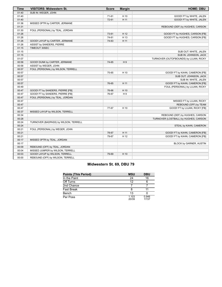| <b>Time</b> | VISITORS: Midwestern St.              | <b>Score</b> | <b>Margin</b>  | <b>HOME: DBU</b>                       |
|-------------|---------------------------------------|--------------|----------------|----------------------------------------|
| 01:40       | SUB IN: WEGER, JOHN                   |              |                |                                        |
| 01:40       |                                       | 71-61        | H 10           | GOOD! FT by WHITE, JALEN               |
| 01:40       |                                       | 72-61        | H 11           | GOOD! FT by WHITE, JALEN               |
| 01:36       | MISSED 3PTR by CARTER, JERMANE        |              |                |                                        |
| 01:31       |                                       |              |                | REBOUND (DEF) by HUGHES, CARSON        |
| 01:30       | FOUL (PERSONAL) by TEAL, JORDAN       |              |                |                                        |
| 01:26       |                                       | 73-61        | H 12           | GOOD! FT by HUGHES, CARSON [FB]        |
| 01:26       |                                       | 74-61        | H 13           | GOOD! FT by HUGHES, CARSON [FB]        |
| 01:26       | GOOD! LAYUP by CARTER, JERMANE        | 74-63        | H 11           |                                        |
| 01:26       | ASSIST by SANDERS, PIERRE             |              |                |                                        |
| 01:15       | TIMEOUT 30SEC                         |              |                |                                        |
| 01:15       |                                       |              |                | SUB OUT: WHITE, JALEN                  |
| 01:15       |                                       |              |                | SUB IN: JOHNSON, JACK                  |
| 01:07       |                                       |              |                | TURNOVER (OUTOFBOUNDS) by LUJAN, RICKY |
| 00:58       | GOOD! DUNK by CARTER, JERMANE         | 74-65        | H <sub>9</sub> |                                        |
| 00:58       | ASSIST by WEGER, JOHN                 |              |                |                                        |
| 00:57       | FOUL (PERSONAL) by WILSON, TERRELL    |              |                |                                        |
| 00:57       |                                       | 75-65        | H 10           | GOOD! FT by KAHN, CAMERON [FB]         |
| 00:57       |                                       |              |                | SUB OUT: JOHNSON, JACK                 |
| 00:57       |                                       |              |                | SUB IN: WHITE, JALEN                   |
| 00:57       |                                       | 76-65        | H 11           | GOOD! FT by KAHN, CAMERON [FB]         |
| 00:49       |                                       |              |                | FOUL (PERSONAL) by LUJAN, RICKY        |
| 00:47       | GOOD! FT by SANDERS, PIERRE [FB]      | 76-66        | H 10           |                                        |
| 00:47       | GOOD! FT by SANDERS, PIERRE [FB]      | 76-67        | H9             |                                        |
| 00:47       | FOUL (PERSONAL) by TEAL, JORDAN       |              |                |                                        |
| 00:47       |                                       |              |                | MISSED FT by LUJAN, RICKY              |
| 00:47       |                                       |              |                | REBOUND (OFF) by TEAM                  |
| 00:47       |                                       | 77-67        | H 10           | GOOD! FT by LUJAN, RICKY [FB]          |
| 00:37       | MISSED LAYUP by WILSON, TERRELL       |              |                |                                        |
| 00:34       |                                       |              |                | REBOUND (DEF) by HUGHES, CARSON        |
| 00:28       |                                       |              |                | TURNOVER (LOSTBALL) by HUGHES, CARSON  |
| 00:24       | TURNOVER (BADPASS) by WILSON, TERRELL |              |                |                                        |
| 00:24       |                                       |              |                | STEAL by KAHN, CAMERON                 |
| 00:21       | FOUL (PERSONAL) by WEGER, JOHN        |              |                |                                        |
| 00:21       |                                       | 78-67        | H 11           | GOOD! FT by KAHN, CAMERON [FB]         |
| 00:21       |                                       | 79-67        | H 12           | GOOD! FT by KAHN, CAMERON [FB]         |
| 00:17       | MISSED 3PTR by TEAL, JORDAN           |              |                |                                        |
| 00:17       |                                       |              |                | BLOCK by GARNER, AUSTIN                |
| 00:09       | REBOUND (OFF) by TEAL, JORDAN         |              |                |                                        |
| 00:04       | MISSED JUMPER by WILSON, TERRELL      |              |                |                                        |
| 00:03       | GOOD! LAYUP by WILSON, TERRELL        | 79-69        | H 10           |                                        |
| 00:00       | REBOUND (OFF) by WILSON, TERRELL      |              |                |                                        |

# **Midwestern St. 69, DBU 79**

| <b>Points (This Period)</b> | <b>MSU</b>     | <b>DBU</b>     |
|-----------------------------|----------------|----------------|
| In the Paint                | 24             | 16             |
| Off Turns                   | 12             | 6              |
| 2nd Chance                  |                |                |
| <b>Fast Break</b>           |                |                |
| Bench                       | 13             |                |
| Per Poss                    | 1.103<br>20/39 | 0.946<br>17/37 |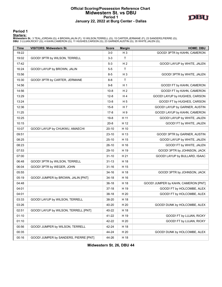# **Official Scoring/Possession Reference Chart Midwestern St. vs DBU Period 1 January 22, 2022 at Burg Center - Dallas**



**Period 1**

<mark>Starters:</mark><br>Midwestern St.: 3 TEAL,JORDAN (G); 4 BROWN,JALIN (F); 10 WILSON,TERRELL (G); 15 CARTER,JERMANE (F); 23 SANDERS,PIERRE (G);<br>DBU: 3 LUJAN,RICKY (G); 4 KAHN,CAMERON (G); 11 HUGHES,CARSON (G); 23 GARNER,AUSTIN (G);

| <b>Time</b> | <b>VISITORS: Midwestern St.</b>       | <b>Score</b> | <b>Margin</b>  | <b>HOME: DBU</b>                    |
|-------------|---------------------------------------|--------------|----------------|-------------------------------------|
| 19:22       |                                       | $3-0$        | $H_3$          | GOOD! 3PTR by KAHN, CAMERON         |
| 19:02       | GOOD! 3PTR by WILSON, TERRELL         | $3 - 3$      | T              |                                     |
| 17:42       |                                       | $5 - 3$      | H <sub>2</sub> | GOOD! LAYUP by WHITE, JALEN         |
| 16:24       | GOOD! LAYUP by BROWN, JALIN           | $5-5$        | T              |                                     |
| 15:56       |                                       | $8 - 5$      | H <sub>3</sub> | GOOD! 3PTR by WHITE, JALEN          |
| 15:30       | GOOD! 3PTR by CARTER, JERMANE         | $8 - 8$      | $\mathsf{T}$   |                                     |
| 14:56       |                                       | $9 - 8$      | H <sub>1</sub> | GOOD! FT by KAHN, CAMERON           |
| 14:56       |                                       | $10 - 8$     | H <sub>2</sub> | GOOD! FT by KAHN, CAMERON           |
| 13:29       |                                       | $12 - 8$     | H4             | GOOD! LAYUP by HUGHES, CARSON       |
| 13:24       |                                       | $13 - 8$     | H <sub>5</sub> | GOOD! FT by HUGHES, CARSON          |
| 12:36       |                                       | $15 - 8$     | H 7            | GOOD! LAYUP by GARNER, AUSTIN       |
| 11:25       |                                       | $17 - 8$     | H <sub>9</sub> | GOOD! LAYUP by KAHN, CAMERON        |
| 10:25       |                                       | $19-8$       | H 11           | GOOD! LAYUP by WHITE, JALEN         |
| 10:15       |                                       | $20 - 8$     | H 12           | GOOD! FT by WHITE, JALEN            |
| 10:07       | GOOD! LAYUP by CHUKWU, AMAECHI        | $20 - 10$    | H 10           |                                     |
| 09:51       |                                       | $23-10$      | H 13           | GOOD! 3PTR by GARNER, AUSTIN        |
| 08:25       |                                       | $25-10$      | H 15           | GOOD! LAYUP by WHITE, JALEN         |
| 08:23       |                                       | $26-10$      | H 16           | GOOD! FT by WHITE, JALEN            |
| 07:53       |                                       | 29-10        | H 19           | GOOD! 3PTR by JOHNSON, JACK         |
| 07:00       |                                       | $31 - 10$    | H 21           | GOOD! LAYUP by BULLARD, ISAAC       |
| 06:48       | GOOD! 3PTR by WILSON, TERRELL         | $31 - 13$    | H 18           |                                     |
| 06:04       | GOOD! 3PTR by WEGER, JOHN             | $31 - 16$    | H 15           |                                     |
| 05:55       |                                       | $34 - 16$    | H 18           | GOOD! 3PTR by JOHNSON, JACK         |
| 05:19       | GOOD! JUMPER by BROWN, JALIN [PNT]    | $34-18$      | H 16           |                                     |
| 04:48       |                                       | $36-18$      | H 18           | GOOD! JUMPER by KAHN, CAMERON [PNT] |
| 04:01       |                                       | $37-18$      | H 19           | GOOD! FT by HOLCOMBE, ALEX          |
| 04:01       |                                       | $38-18$      | H 20           | GOOD! FT by HOLCOMBE, ALEX          |
| 03:33       | GOOD! LAYUP by WILSON, TERRELL        | 38-20        | H 18           |                                     |
| 03:26       |                                       | 40-20        | H 20           | GOOD! DUNK by HOLCOMBE, ALEX        |
| 02:51       | GOOD! LAYUP by WILSON, TERRELL [PNT]  | 40-22        | H 18           |                                     |
| 01:10       |                                       | 41-22        | H 19           | GOOD! FT by LUJAN, RICKY            |
| 01:10       |                                       | 42-22        | H 20           | GOOD! FT by LUJAN, RICKY            |
| 00:56       | GOOD! JUMPER by WILSON, TERRELL       | 42-24        | H 18           |                                     |
| 00:35       |                                       | 44-24        | H 20           | GOOD! DUNK by HOLCOMBE, ALEX        |
| 00:16       | GOOD! JUMPER by SANDERS, PIERRE [PNT] | 44-26        | H 18           |                                     |

**Midwestern St. 26, DBU 44**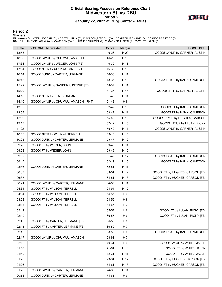# **Official Scoring/Possession Reference Chart Midwestern St. vs DBU Period 2 January 22, 2022 at Burg Center - Dallas**



**Period 2**

#### **Starters:**

**Midwestern St.**: 3 TEAL,JORDAN (G); 4 BROWN,JALIN (F); 10 WILSON,TERRELL (G); 15 CARTER,JERMANE (F); 23 SANDERS,PIERRE (G);<br>**DBU**: 3 LUJAN,RICKY (G); 4 KAHN,CAMERON (G); 11 HUGHES,CARSON (G); 23 GARNER,AUSTIN (G); 35 WHIT

| <b>Time</b> | <b>VISITORS: Midwestern St.</b>      | <b>Score</b> | <b>Margin</b>  | <b>HOME: DBU</b>                |
|-------------|--------------------------------------|--------------|----------------|---------------------------------|
| 18:53       |                                      | 46-26        | H 20           | GOOD! LAYUP by GARNER, AUSTIN   |
| 18:08       | GOOD! LAYUP by CHUKWU, AMAECHI       | 46-28        | H 18           |                                 |
| 17:31       | GOOD! LAYUP by WEGER, JOHN [FB]      | 46-30        | H 16           |                                 |
| 17:04       | GOOD! 3PTR by CHUKWU, AMAECHI        | 46-33        | H 13           |                                 |
| 16:14       | GOOD! DUNK by CARTER, JERMANE        | 46-35        | H 11           |                                 |
| 15:43       |                                      | 48-35        | H 13           | GOOD! LAYUP by KAHN, CAMERON    |
| 15:29       | GOOD! LAYUP by SANDERS, PIERRE [FB]  | 48-37        | H 11           |                                 |
| 15:29       |                                      | 51-37        | H 14           | GOOD! 3PTR by GARNER, AUSTIN    |
| 14:16       | GOOD! 3PTR by TEAL, JORDAN           | 51-40        | H 11           |                                 |
| 14:10       | GOOD! LAYUP by CHUKWU, AMAECHI [PNT] | 51-42        | H 9            |                                 |
| 13:09       |                                      | 52-42        | H 10           | GOOD! FT by KAHN, CAMERON       |
| 13:09       |                                      | 53-42        | H 11           | GOOD! FT by KAHN, CAMERON       |
| 12:39       |                                      | 55-42        | H 13           | GOOD! LAYUP by HUGHES, CARSON   |
| 12:17       |                                      | 57-42        | H 15           | GOOD! LAYUP by LUJAN, RICKY     |
| 11:22       |                                      | 59-42        | H 17           | GOOD! LAYUP by GARNER, AUSTIN   |
| 10:58       | GOOD! 3PTR by WILSON, TERRELL        | 59-45        | H 14           |                                 |
| 10:03       | GOOD! DUNK by CARTER, JERMANE        | 59-47        | H 12           |                                 |
| 09:28       | GOOD! FT by WEGER, JOHN              | 59-48        | H 11           |                                 |
| 09:28       | GOOD! FT by WEGER, JOHN              | 59-49        | H 10           |                                 |
| 09:02       |                                      | 61-49        | H 12           | GOOD! LAYUP by KAHN, CAMERON    |
| 08:47       |                                      | 62-49        | H 13           | GOOD! FT by KAHN, CAMERON       |
| 08:36       | GOOD! DUNK by CARTER, JERMANE        | 62-51        | H 11           |                                 |
| 06:37       |                                      | 63-51        | H 12           | GOOD! FT by HUGHES, CARSON [FB] |
| 06:37       |                                      | 64-51        | H 13           | GOOD! FT by HUGHES, CARSON [FB] |
| 06:21       | GOOD! LAYUP by CARTER, JERMANE       | 64-53        | H 11           |                                 |
| 04:34       | GOOD! FT by WILSON, TERRELL          | 64-54        | H 10           |                                 |
| 04:34       | GOOD! FT by WILSON, TERRELL          | 64-55        | H9             |                                 |
| 03:28       | GOOD! FT by WILSON, TERRELL          | 64-56        | H 8            |                                 |
| 03:15       | GOOD! FT by WILSON, TERRELL          | 64-57        | H 7            |                                 |
| 02:49       |                                      | 65-57        | H <sub>8</sub> | GOOD! FT by LUJAN, RICKY [FB]   |
| 02:49       |                                      | 66-57        | H9             | GOOD! FT by LUJAN, RICKY [FB]   |
| 02:45       | GOOD! FT by CARTER, JERMANE [FB]     | 66-58        | H <sub>8</sub> |                                 |
| 02:45       | GOOD! FT by CARTER, JERMANE [FB]     | 66-59        | H 7            |                                 |
| 02:42       |                                      | 68-59        | H 9            | GOOD! LAYUP by KAHN, CAMERON    |
| 02:17       | GOOD! LAYUP by CHUKWU, AMAECHI       | 68-61        | H <sub>7</sub> |                                 |
| 02:12       |                                      | 70-61        | H 9            | GOOD! LAYUP by WHITE, JALEN     |
| 01:40       |                                      | 71-61        | H 10           | GOOD! FT by WHITE, JALEN        |
| 01:40       |                                      | 72-61        | H 11           | GOOD! FT by WHITE, JALEN        |
| 01:26       |                                      | 73-61        | H 12           | GOOD! FT by HUGHES, CARSON [FB] |
| 01:26       |                                      | 74-61        | H 13           | GOOD! FT by HUGHES, CARSON [FB] |
| 01:26       | GOOD! LAYUP by CARTER, JERMANE       | 74-63        | H 11           |                                 |
| 00:58       | GOOD! DUNK by CARTER, JERMANE        | 74-65        | H 9            |                                 |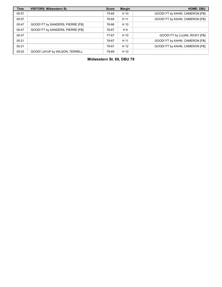| <b>Time</b> | <b>VISITORS: Midwestern St.</b>  | <b>Score</b> | <b>Margin</b> | <b>HOME: DBU</b>               |
|-------------|----------------------------------|--------------|---------------|--------------------------------|
| 00:57       |                                  | 75-65        | H 10          | GOOD! FT by KAHN, CAMERON [FB] |
| 00:57       |                                  | 76-65        | H 11          | GOOD! FT by KAHN, CAMERON [FB] |
| 00:47       | GOOD! FT by SANDERS, PIERRE [FB] | 76-66        | H 10          |                                |
| 00:47       | GOOD! FT by SANDERS, PIERRE [FB] | 76-67        | H 9           |                                |
| 00:47       |                                  | 77-67        | H 10          | GOOD! FT by LUJAN, RICKY [FB]  |
| 00:21       |                                  | 78-67        | H 11          | GOOD! FT by KAHN, CAMERON [FB] |
| 00:21       |                                  | 79-67        | H 12          | GOOD! FT by KAHN, CAMERON [FB] |
| 00:03       | GOOD! LAYUP by WILSON, TERRELL   | 79-69        | H 10          |                                |

**Midwestern St. 69, DBU 79**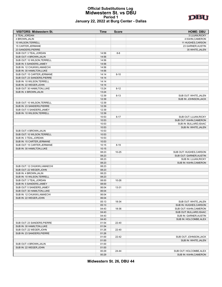#### **Official Substitutions Log Midwestern St. vs DBU Period 1 January 22, 2022 at Burg Center - Dallas**



| <b>VISITORS: Midwestern St.</b> | Time  | <b>Score</b> | <b>HOME: DBU</b>        |
|---------------------------------|-------|--------------|-------------------------|
| 3 TEAL, JORDAN                  |       |              | 3 LUJAN, RICKY          |
| 4 BROWN, JALIN                  |       |              | 4 KAHN, CAMERON         |
| 10 WILSON, TERRELL              |       |              | 11 HUGHES, CARSON       |
| 15 CARTER, JERMANE              |       |              | 23 GARNER, AUSTIN       |
| 23 SANDERS, PIERRE              |       |              | 35 WHITE, JALEN         |
| SUB OUT: 3 TEAL, JORDAN         | 14:56 | $8 - 8$      |                         |
| SUB OUT: 4 BROWN, JALIN         | 14:56 |              |                         |
| SUB OUT: 10 WILSON, TERRELL     | 14:56 |              |                         |
| SUB IN: 5 SANDERS, JAMEY        | 14:56 |              |                         |
| SUB IN: 12 CHUKWU, AMAECHI      | 14:56 |              |                         |
| SUB IN: 30 HAMILTON, LUKE       | 14:56 |              |                         |
|                                 |       |              |                         |
| SUB OUT: 15 CARTER, JERMANE     | 14:14 | $8 - 10$     |                         |
| SUB OUT: 23 SANDERS, PIERRE     | 14:14 |              |                         |
| SUB IN: 10 WILSON, TERRELL      | 14:14 |              |                         |
| SUB IN: 22 WEGER, JOHN          | 14:14 |              |                         |
| SUB OUT: 30 HAMILTON, LUKE      | 13:24 | $8 - 12$     |                         |
| SUB IN: 4 BROWN, JALIN          | 13:24 |              |                         |
|                                 | 12:39 | $8 - 13$     | SUB OUT: WHITE, JALEN   |
|                                 | 12:39 |              | SUB IN: JOHNSON, JACK   |
| SUB OUT: 10 WILSON, TERRELL     | 12:39 |              |                         |
| SUB IN: 23 SANDERS, PIERRE      | 12:39 |              |                         |
| SUB OUT: 5 SANDERS, JAMEY       | 12:39 |              |                         |
| SUB IN: 10 WILSON, TERRELL      | 12:39 |              |                         |
|                                 | 10:53 | $8 - 17$     | SUB OUT: LUJAN, RICKY   |
|                                 | 10:53 |              | SUB OUT: KAHN, CAMERON  |
|                                 | 10:53 |              | SUB IN: BULLARD, ISAAC  |
|                                 | 10:53 |              | SUB IN: WHITE, JALEN    |
| SUB OUT: 4 BROWN, JALIN         | 10:53 |              |                         |
| SUB OUT: 10 WILSON, TERRELL     | 10:53 |              |                         |
| SUB IN: 3 TEAL, JORDAN          | 10:53 |              |                         |
| SUB IN: 15 CARTER, JERMANE      | 10:53 |              |                         |
|                                 |       |              |                         |
| SUB OUT: 15 CARTER, JERMANE     | 10:15 | $8 - 19$     |                         |
| SUB IN: 30 HAMILTON, LUKE       | 10:15 |              |                         |
|                                 | 08:23 | $10 - 25$    | SUB OUT: HUGHES, CARSON |
|                                 | 08:23 |              | SUB OUT: GARNER, AUSTIN |
|                                 | 08:23 |              | SUB IN: LUJAN, RICKY    |
|                                 | 08:23 |              | SUB IN: KAHN, CAMERON   |
| SUB OUT: 12 CHUKWU, AMAECHI     | 08:23 |              |                         |
| SUB OUT: 22 WEGER, JOHN         | 08:23 |              |                         |
| SUB IN: 4 BROWN, JALIN          | 08:23 |              |                         |
| SUB IN: 10 WILSON, TERRELL      | 08:23 |              |                         |
| SUB OUT: 3 TEAL, JORDAN         | 08:00 | 10-26        |                         |
| SUB IN: 5 SANDERS, JAMEY        | 08:00 |              |                         |
| SUB OUT: 5 SANDERS, JAMEY       | 06:04 | 13-31        |                         |
| SUB OUT: 30 HAMILTON, LUKE      | 06:04 |              |                         |
| SUB IN: 12 CHUKWU, AMAECHI      | 06:04 |              |                         |
| SUB IN: 22 WEGER, JOHN          | 06:04 |              |                         |
|                                 | 05:13 | 18-34        | SUB OUT: WHITE, JALEN   |
|                                 | 05:13 |              | SUB IN: HUGHES, CARSON  |
|                                 | 04:43 | 18-36        | SUB OUT: KAHN, CAMERON  |
|                                 | 04:43 |              | SUB OUT: BULLARD, ISAAC |
|                                 | 04:43 |              | SUB IN: GARNER, AUSTIN  |
|                                 |       |              |                         |
|                                 | 04:43 |              | SUB IN: HOLCOMBE, ALEX  |
| SUB OUT: 23 SANDERS, PIERRE     | 01:54 | 22-40        |                         |
| SUB IN: 30 HAMILTON, LUKE       | 01:54 |              |                         |
| SUB OUT: 22 WEGER, JOHN         | 01:26 | 22-40        |                         |
| SUB IN: 23 SANDERS, PIERRE      | 01:26 |              |                         |
|                                 | 01:00 | 22-42        | SUB OUT: JOHNSON, JACK  |
|                                 | 01:00 |              | SUB IN: WHITE, JALEN    |
| SUB OUT: 4 BROWN, JALIN         | 01:00 |              |                         |
| SUB IN: 22 WEGER, JOHN          | 01:00 |              |                         |
|                                 | 00:29 | 24-44        | SUB OUT: HOLCOMBE, ALEX |
|                                 | 00:29 |              | SUB IN: KAHN, CAMERON   |

**Midwestern St. 26, DBU 44**